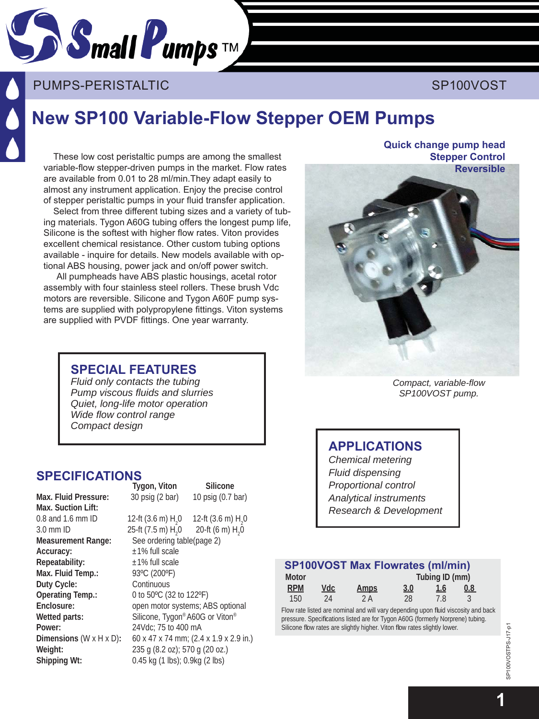

## PUMPS-PERISTALTIC AND INTERNATIONAL SP100VOST

## **New SP100 Variable-Flow Stepper OEM Pumps**

These low cost peristaltic pumps are among the smallest variable-flow stepper-driven pumps in the market. Flow rates are available from 0.01 to 28 ml/min.They adapt easily to almost any instrument application. Enjoy the precise control of stepper peristaltic pumps in your fluid transfer application.

Select from three different tubing sizes and a variety of tubing materials. Tygon A60G tubing offers the longest pump life, Silicone is the softest with higher flow rates. Viton provides excellent chemical resistance. Other custom tubing options available - inquire for details. New models available with optional ABS housing, power jack and on/off power switch.

All pumpheads have ABS plastic housings, acetal rotor assembly with four stainless steel rollers. These brush Vdc motors are reversible. Silicone and Tygon A60F pump systems are supplied with polypropylene fittings. Viton systems are supplied with PVDF fittings. One year warranty.

#### **SPE CIAL FEATURES**

*Fluid only contacts the tubing Pump viscous fl uids and slurries Quiet, long-life motor operation Wide flow control range Compact design*

#### **SPECIFICATIONS Tygon, Viton Silicone**

**Max. Suction Lift:**  0.8 and 1.6 mm ID 12-ft (3.6 m)  $H_2$  1<br>3.0 mm ID 25-ft (7.5 m)  $H_1$  0 3.0 mm ID 25-ft  $(7.5 \text{ m}) \text{ H}_2^0$ <br>Measurement Range: See ordering ta **Accuracy:**  $\pm 1\%$  full scale **Repeatability:** ±1% full scale **Max. Fluid Temp.:** 93ºC (200ºF) **Duty Cycle:** Continuous **Operating Temp.:** 0 to 50ºC (32 to 122ºF) **Power:** 24Vdc; 75 to 400 mA

**Max. Fluid Pressure:** 30 psig (2 bar) 10 psig (0.7 bar) 0 12-ft (3.6 m)  $H_2$ 0 0 20-ft (6 m)  $H_2$ 0 See ordering table(page 2) **Enclosure:** open motor systems; ABS optional Wetted parts: Silicone, Tygon® A60G or Viton® **Dimensions** (W x H x D)**:** 60 x 47 x 74 mm; (2.4 x 1.9 x 2.9 in.) **Weight:** 235 g (8.2 oz); 570 g (20 oz.) **Shipping Wt:** 0.45 kg (1 lbs); 0.9kg (2 lbs)

**Quick change pump head Stepper Control Reversible**



*Compact, variable-fl ow SP100VOST pump.*

#### **APPLICATIONS**

*Chemical metering Fluid dispensing Proportional control Analytical instruments Research & Development*

#### **SP100VOST Max Flowrates (ml/min)**

| Motor      |     |             | Tubing ID (mm) |             |     |
|------------|-----|-------------|----------------|-------------|-----|
| <b>RPM</b> | Vdc | <u>Amps</u> | 3.0            | <u> 1.6</u> | 0.8 |
| 150        | 24  | 2 A         | 28             | 7.8         |     |

Flow rate listed are nominal and will vary depending upon fluid viscosity and back pressure. Specifications listed are for Tygon A60G (formerly Norprene) tubing. Silicone flow rates are slightly higher. Viton flow rates slightly lower.